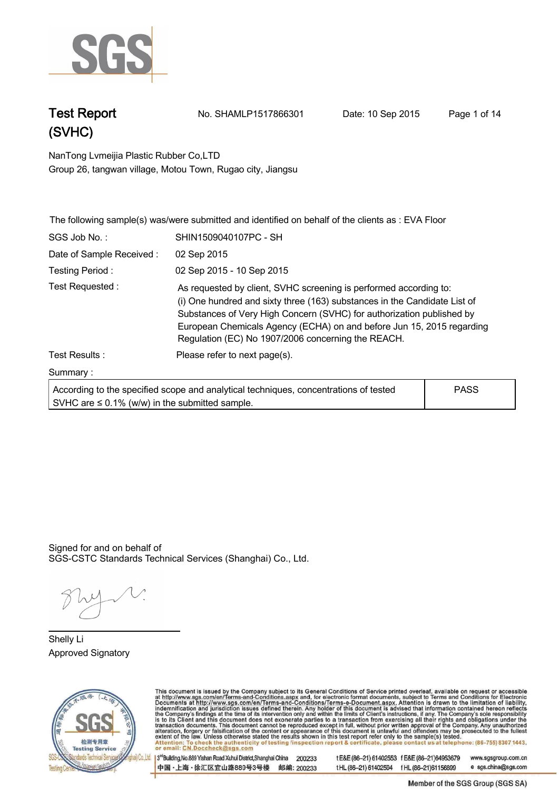

**Test Report. No. SHAMLP1517866301 Date: 10 Sep 2015. Page 1 of 14.**

**NanTong Lvmeijia Plastic Rubber Co,LTD .**

**Group 26, tangwan village, Motou Town, Rugao city, Jiangsu**

|                                                     | The following sample(s) was/were submitted and identified on behalf of the clients as : EVA Floor                                                                                                                                                                                                                                                      |             |  |
|-----------------------------------------------------|--------------------------------------------------------------------------------------------------------------------------------------------------------------------------------------------------------------------------------------------------------------------------------------------------------------------------------------------------------|-------------|--|
| SGS Job No.:                                        | SHIN1509040107PC - SH                                                                                                                                                                                                                                                                                                                                  |             |  |
| Date of Sample Received:                            | 02 Sep 2015                                                                                                                                                                                                                                                                                                                                            |             |  |
| Testing Period:                                     | 02 Sep 2015 - 10 Sep 2015                                                                                                                                                                                                                                                                                                                              |             |  |
| Test Requested:                                     | As requested by client, SVHC screening is performed according to:<br>(i) One hundred and sixty three (163) substances in the Candidate List of<br>Substances of Very High Concern (SVHC) for authorization published by<br>European Chemicals Agency (ECHA) on and before Jun 15, 2015 regarding<br>Regulation (EC) No 1907/2006 concerning the REACH. |             |  |
| Test Results:                                       | Please refer to next page(s).                                                                                                                                                                                                                                                                                                                          |             |  |
| Summary:                                            |                                                                                                                                                                                                                                                                                                                                                        |             |  |
| SVHC are $\leq$ 0.1% (w/w) in the submitted sample. | According to the specified scope and analytical techniques, concentrations of tested                                                                                                                                                                                                                                                                   | <b>PASS</b> |  |

Signed for and on behalf of SGS-CSTC Standards Technical Services (Shanghai) Co., Ltd..

**Shelly Li. Approved Signatory . . .**



This document is issued by the Company subject to its General Conditions of Service printed overleaf, available on request or accessible<br>at http://www.sgs.com/en/Terms-and-Conditions.aspx and, for electronic format docume

3<sup>rd</sup> Building, No.889 Yishan Road Xuhui District, Shanghai China 200233 中国·上海·徐汇区宜山路889号3号楼 邮编: 200233

tE&E (86-21) 61402553 fE&E (86-21)64953679 www.sgsgroup.com.cn tHL (86-21) 61402594 fHL (86-21) 61156899 e sgs.china@sgs.com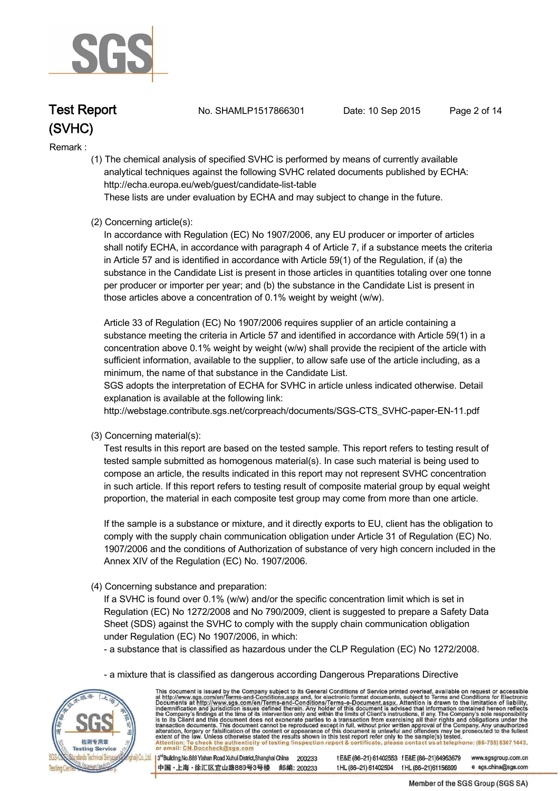

**Test Report. No. SHAMLP1517866301 Date: 10 Sep 2015. Page 2 of 14.**

#### **Remark :.**

 **(1) The chemical analysis of specified SVHC is performed by means of currently available analytical techniques against the following SVHC related documents published by ECHA: http://echa.europa.eu/web/guest/candidate-list-table** 

 **These lists are under evaluation by ECHA and may subject to change in the future.** 

### **(2) Concerning article(s):**

 **In accordance with Regulation (EC) No 1907/2006, any EU producer or importer of articles shall notify ECHA, in accordance with paragraph 4 of Article 7, if a substance meets the criteria in Article 57 and is identified in accordance with Article 59(1) of the Regulation, if (a) the substance in the Candidate List is present in those articles in quantities totaling over one tonne per producer or importer per year; and (b) the substance in the Candidate List is present in those articles above a concentration of 0.1% weight by weight (w/w).** 

 **Article 33 of Regulation (EC) No 1907/2006 requires supplier of an article containing a substance meeting the criteria in Article 57 and identified in accordance with Article 59(1) in a concentration above 0.1% weight by weight (w/w) shall provide the recipient of the article with sufficient information, available to the supplier, to allow safe use of the article including, as a minimum, the name of that substance in the Candidate List.** 

 **SGS adopts the interpretation of ECHA for SVHC in article unless indicated otherwise. Detail explanation is available at the following link:**

 **http://webstage.contribute.sgs.net/corpreach/documents/SGS-CTS\_SVHC-paper-EN-11.pdf** 

 **(3) Concerning material(s):** 

 **Test results in this report are based on the tested sample. This report refers to testing result of tested sample submitted as homogenous material(s). In case such material is being used to compose an article, the results indicated in this report may not represent SVHC concentration in such article. If this report refers to testing result of composite material group by equal weight proportion, the material in each composite test group may come from more than one article.** 

 **If the sample is a substance or mixture, and it directly exports to EU, client has the obligation to comply with the supply chain communication obligation under Article 31 of Regulation (EC) No. 1907/2006 and the conditions of Authorization of substance of very high concern included in the Annex XIV of the Regulation (EC) No. 1907/2006.** 

 **(4) Concerning substance and preparation:** 

 **If a SVHC is found over 0.1% (w/w) and/or the specific concentration limit which is set in Regulation (EC) No 1272/2008 and No 790/2009, client is suggested to prepare a Safety Data Sheet (SDS) against the SVHC to comply with the supply chain communication obligation under Regulation (EC) No 1907/2006, in which:** 

 **- a substance that is classified as hazardous under the CLP Regulation (EC) No 1272/2008.** 

 **- a mixture that is classified as dangerous according Dangerous Preparations Directive** 



This document is issued by the Company subject to its General Conditions of Service printed overleaf, available on request or accessible at http://www.sgs.com/en/Terms-and-Conditions.aspx and, for electronic format docume

3<sup>rd</sup>Building, No.889 Yishan Road Xuhui District, Shanghai China 200233 中国·上海·徐汇区宜山路889号3号楼 邮编: 200233

www.sgsgroup.com.cn tE&E(86-21)61402553 fE&E(86-21)64953679 e sgs.china@sgs.com tHL (86-21) 61402594 fHL (86-21)61156899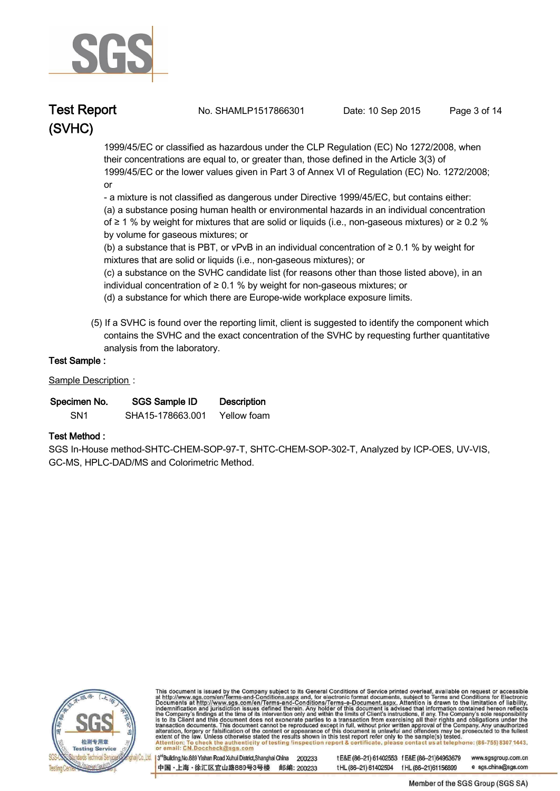

**Test Report. No. SHAMLP1517866301 Date: 10 Sep 2015. Page 3 of 14.**

 **1999/45/EC or classified as hazardous under the CLP Regulation (EC) No 1272/2008, when their concentrations are equal to, or greater than, those defined in the Article 3(3) of 1999/45/EC or the lower values given in Part 3 of Annex VI of Regulation (EC) No. 1272/2008; or** 

 **- a mixture is not classified as dangerous under Directive 1999/45/EC, but contains either: (a) a substance posing human health or environmental hazards in an individual concentration of ≥ 1 % by weight for mixtures that are solid or liquids (i.e., non-gaseous mixtures) or ≥ 0.2 % by volume for gaseous mixtures; or** 

 **(b) a substance that is PBT, or vPvB in an individual concentration of ≥ 0.1 % by weight for mixtures that are solid or liquids (i.e., non-gaseous mixtures); or** 

 **(c) a substance on the SVHC candidate list (for reasons other than those listed above), in an individual concentration of ≥ 0.1 % by weight for non-gaseous mixtures; or** 

- **(d) a substance for which there are Europe-wide workplace exposure limits.**
- **(5) If a SVHC is found over the reporting limit, client is suggested to identify the component which contains the SVHC and the exact concentration of the SVHC by requesting further quantitative analysis from the laboratory.**

#### **Test Sample :.**

**Sample Description :.**

| Specimen No.    | SGS Sample ID    | <b>Description</b> |  |
|-----------------|------------------|--------------------|--|
| SN <sub>1</sub> | SHA15-178663.001 | Yellow foam        |  |

#### **Test Method :.**

**SGS In-House method-SHTC-CHEM-SOP-97-T, SHTC-CHEM-SOP-302-T, Analyzed by ICP-OES, UV-VIS, GC-MS, HPLC-DAD/MS and Colorimetric Method. .**



This document is issued by the Company subject to its General Conditions of Service printed overleaf, available on request or accessible<br>at http://www.sgs.com/en/Terms-and-Conditions.aspx and, for electronic format docume

3<sup>rd</sup>Building, No.889 Yishan Road Xuhui District, Shanghai China 200233 中国·上海·徐汇区宜山路889号3号楼 邮编: 200233

tE&E (86-21) 61402553 fE&E (86-21)64953679 www.sgsgroup.com.cn tHL (86-21) 61402594 fHL (86-21)61156899 e sgs.china@sgs.com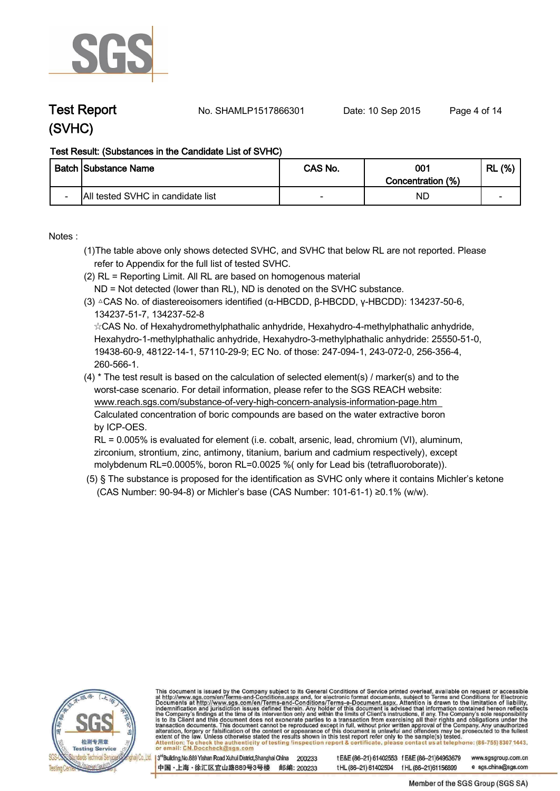

**Test Report. No. SHAMLP1517866301 Date: 10 Sep 2015. Page 4 of 14.**

### **Test Result: (Substances in the Candidate List of SVHC)**

|                          | <b>Batch Substance Name</b>       | CAS No. | 001<br>Concentration (%) | (%)<br><b>RL</b> |
|--------------------------|-----------------------------------|---------|--------------------------|------------------|
| $\overline{\phantom{0}}$ | All tested SVHC in candidate list |         | NC                       | -                |

**Notes :.**

- **(1)The table above only shows detected SVHC, and SVHC that below RL are not reported. Please refer to Appendix for the full list of tested SVHC.**
- **(2) RL = Reporting Limit. All RL are based on homogenous material**
- **ND = Not detected (lower than RL), ND is denoted on the SVHC substance.**
- **(3) △CAS No. of diastereoisomers identified (α-HBCDD, β-HBCDD, γ-HBCDD): 134237-50-6, 134237-51-7, 134237-52-8**

 **☆CAS No. of Hexahydromethylphathalic anhydride, Hexahydro-4-methylphathalic anhydride, Hexahydro-1-methylphathalic anhydride, Hexahydro-3-methylphathalic anhydride: 25550-51-0, 19438-60-9, 48122-14-1, 57110-29-9; EC No. of those: 247-094-1, 243-072-0, 256-356-4, 260-566-1.**

**(4) \* The test result is based on the calculation of selected element(s) / marker(s) and to the worst-case scenario. For detail information, please refer to the SGS REACH website: www.reach.sgs.com/substance-of-very-high-concern-analysis-information-page.htm Calculated concentration of boric compounds are based on the water extractive boron by ICP-OES.**

 **RL = 0.005% is evaluated for element (i.e. cobalt, arsenic, lead, chromium (VI), aluminum, zirconium, strontium, zinc, antimony, titanium, barium and cadmium respectively), except molybdenum RL=0.0005%, boron RL=0.0025 %( only for Lead bis (tetrafluoroborate)). .**

 **(5) § The substance is proposed for the identification as SVHC only where it contains Michler's ketone (CAS Number: 90-94-8) or Michler's base (CAS Number: 101-61-1) ≥0.1% (w/w). .**



This document is issued by the Company subject to its General Conditions of Service printed overleaf, available on request or accessible<br>at http://www.sgs.com/en/Terms-and-Conditions.aspx and, for electronic format docume

3<sup>rd</sup>Building, No.889 Yishan Road Xuhui District, Shanghai China 200233 中国·上海·徐汇区宜山路889号3号楼 邮编: 200233

tE&E(86-21) 61402553 fE&E(86-21)64953679 www.sgsgroup.com.cn e sgs.china@sgs.com tHL (86-21) 61402594 fHL (86-21)61156899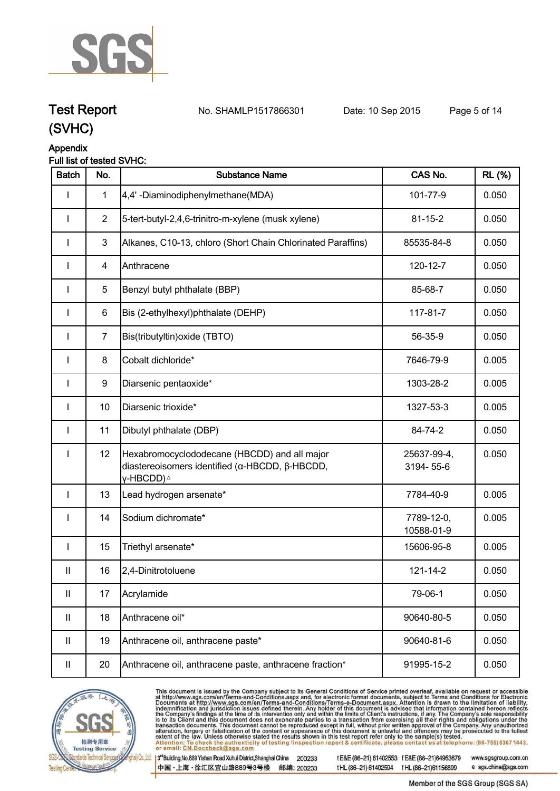

**Test Report. No. SHAMLP1517866301 Date: 10 Sep 2015. Page 5 of 14.**

#### **Appendix Full list of tested SVHC:**

| <b>Batch</b>               | No.            | <b>Substance Name</b>                                                                                                                   | CAS No.                  | <b>RL</b> (%) |
|----------------------------|----------------|-----------------------------------------------------------------------------------------------------------------------------------------|--------------------------|---------------|
|                            | $\mathbf 1$    | 4,4'-Diaminodiphenylmethane(MDA)                                                                                                        | 101-77-9                 | 0.050         |
|                            | $\overline{2}$ | 5-tert-butyl-2,4,6-trinitro-m-xylene (musk xylene)                                                                                      | $81 - 15 - 2$            | 0.050         |
| $\mathbf{I}$               | $\mathbf{3}$   | Alkanes, C10-13, chloro (Short Chain Chlorinated Paraffins)                                                                             | 85535-84-8               | 0.050         |
| ı                          | 4              | Anthracene                                                                                                                              | 120-12-7                 | 0.050         |
| $\mathbf{I}$               | 5              | Benzyl butyl phthalate (BBP)                                                                                                            | 85-68-7                  | 0.050         |
| $\mathbf{I}$               | 6              | Bis (2-ethylhexyl)phthalate (DEHP)                                                                                                      | 117-81-7                 | 0.050         |
| I                          | $\overline{7}$ | Bis(tributyltin) oxide (TBTO)                                                                                                           | 56-35-9                  | 0.050         |
| $\mathbf{I}$               | 8              | Cobalt dichloride*                                                                                                                      | 7646-79-9                | 0.005         |
| I                          | 9              | Diarsenic pentaoxide*                                                                                                                   | 1303-28-2                | 0.005         |
| I                          | 10             | Diarsenic trioxide*                                                                                                                     | 1327-53-3                | 0.005         |
|                            | 11             | Dibutyl phthalate (DBP)                                                                                                                 | 84-74-2                  | 0.050         |
| I                          | 12             | Hexabromocyclododecane (HBCDD) and all major<br>diastereoisomers identified ( $\alpha$ -HBCDD, $\beta$ -HBCDD,<br>γ-HBCDD) <sup>∆</sup> | 25637-99-4,<br>3194-55-6 | 0.050         |
| <b>I</b>                   | 13             | Lead hydrogen arsenate*                                                                                                                 | 7784-40-9                | 0.005         |
| I                          | 14             | Sodium dichromate*                                                                                                                      | 7789-12-0,<br>10588-01-9 | 0.005         |
| $\mathbf{I}$               | 15             | Triethyl arsenate*                                                                                                                      | 15606-95-8               | 0.005         |
| Ш                          | 16             | 2,4-Dinitrotoluene                                                                                                                      | 121-14-2                 | 0.050         |
| $\ensuremath{\mathsf{II}}$ | 17             | Acrylamide                                                                                                                              | 79-06-1                  | 0.050         |
| $\ensuremath{\mathsf{II}}$ | 18             | Anthracene oil*                                                                                                                         | 90640-80-5               | 0.050         |
| Ш                          | 19             | Anthracene oil, anthracene paste*                                                                                                       | 90640-81-6               | 0.050         |
| Ш                          | 20             | Anthracene oil, anthracene paste, anthracene fraction*                                                                                  | 91995-15-2               | 0.050         |



This document is issued by the Company subject to its General Conditions of Service printed overleaf, available on request or accessible<br>at http://www.sgs.com/en/Terms-and-Conditions.aspx and, for electronic format docume

3rd Building, No.889 Yishan Road Xuhui District, Shanghai China 200233 中国·上海·徐汇区宜山路889号3号楼 邮编: 200233 tE&E (86-21) 61402553 fE&E (86-21)64953679 www.sgsgroup.com.cn tHL (86-21) 61402594 fHL (86-21) 61156899

e sgs.china@sgs.com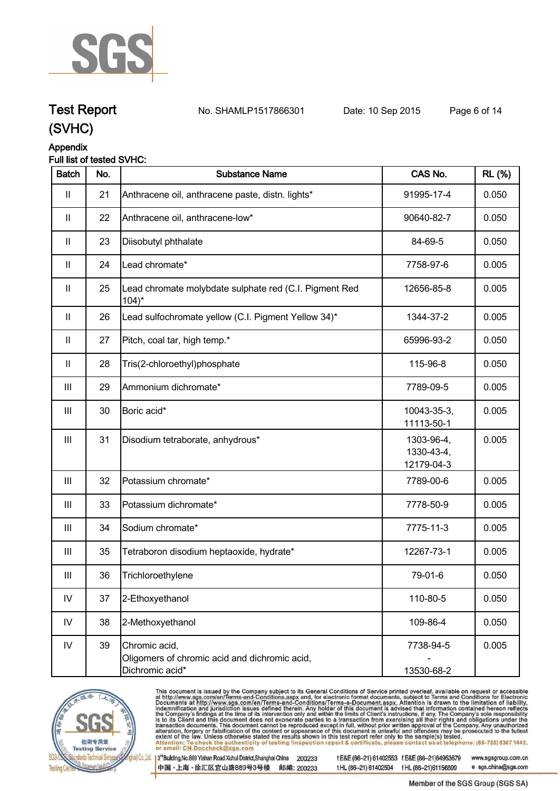

## **Test Report. No. SHAMLP1517866301 Date: 10 Sep 2015. Page 6 of 14.**

### **(SVHC)**

### **Appendix**

### **Full list of tested SVHC:**

| <b>Batch</b>       | No. | <b>Substance Name</b>                                                             | CAS No.                                | <b>RL</b> (%) |
|--------------------|-----|-----------------------------------------------------------------------------------|----------------------------------------|---------------|
| Ш                  | 21  | Anthracene oil, anthracene paste, distn. lights*                                  | 91995-17-4                             | 0.050         |
| Ш                  | 22  | Anthracene oil, anthracene-low*                                                   | 90640-82-7                             | 0.050         |
| Ш                  | 23  | Diisobutyl phthalate                                                              | 84-69-5                                | 0.050         |
| Ш                  | 24  | Lead chromate*                                                                    | 7758-97-6                              | 0.005         |
| $\mathbf{II}$      | 25  | Lead chromate molybdate sulphate red (C.I. Pigment Red<br>$104$ <sup>*</sup>      | 12656-85-8                             | 0.005         |
| $\mathbf{II}$      | 26  | Lead sulfochromate yellow (C.I. Pigment Yellow 34)*                               | 1344-37-2                              | 0.005         |
| $\mathbf{II}$      | 27  | Pitch, coal tar, high temp.*                                                      | 65996-93-2                             | 0.050         |
| $\mathbf{I}$       | 28  | Tris(2-chloroethyl)phosphate                                                      | 115-96-8                               | 0.050         |
| Ш                  | 29  | Ammonium dichromate*                                                              | 7789-09-5                              | 0.005         |
| Ш                  | 30  | Boric acid*                                                                       | 10043-35-3,<br>11113-50-1              | 0.005         |
| $\mathop{\rm III}$ | 31  | Disodium tetraborate, anhydrous*                                                  | 1303-96-4,<br>1330-43-4,<br>12179-04-3 | 0.005         |
| $\mathbf{III}$     | 32  | Potassium chromate*                                                               | 7789-00-6                              | 0.005         |
| $\mathop{\rm III}$ | 33  | Potassium dichromate*                                                             | 7778-50-9                              | 0.005         |
| Ш                  | 34  | Sodium chromate*                                                                  | 7775-11-3                              | 0.005         |
| Ш                  | 35  | Tetraboron disodium heptaoxide, hydrate*                                          | 12267-73-1                             | 0.005         |
| Ш                  | 36  | Trichloroethylene                                                                 | 79-01-6                                | 0.050         |
| ${\sf IV}$         | 37  | 2-Ethoxyethanol                                                                   | 110-80-5                               | 0.050         |
| ${\sf IV}$         | 38  | 2-Methoxyethanol                                                                  | 109-86-4                               | 0.050         |
| ${\sf IV}$         | 39  | Chromic acid,<br>Oligomers of chromic acid and dichromic acid,<br>Dichromic acid* | 7738-94-5<br>13530-68-2                | 0.005         |



This document is issued by the Company subject to its General Conditions of Service printed overleaf, available on request or accessible<br>at http://www.sgs.com/en/Terms-and-Conditions.aspx and, for electronic format docume

3rd Building, No.889 Yishan Road Xuhui District, Shanghai China 200233 中国·上海·徐汇区宜山路889号3号楼 邮编: 200233 tE&E (86-21) 61402553 fE&E (86-21)64953679 www.sgsgroup.com.cn tHL (86-21) 61402594 fHL (86-21) 61156899

e sgs.china@sgs.com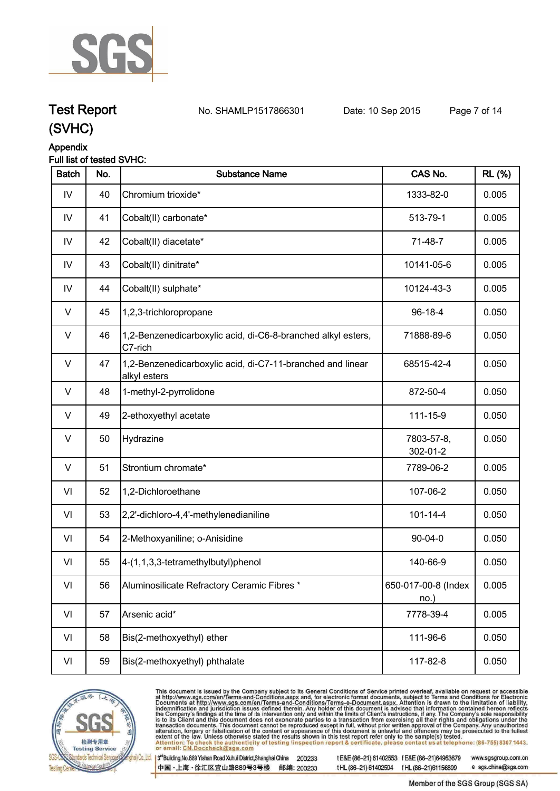

### **Test Report. No. SHAMLP1517866301 Date: 10 Sep 2015. Page 7 of 14.**

### **(SVHC)**

### **Appendix**

### **Full list of tested SVHC:**

| <b>Batch</b>  | No. | <b>Substance Name</b>                                                      | CAS No.                     | <b>RL</b> (%) |
|---------------|-----|----------------------------------------------------------------------------|-----------------------------|---------------|
| IV            | 40  | Chromium trioxide*                                                         | 1333-82-0                   | 0.005         |
| $\mathsf{IV}$ | 41  | Cobalt(II) carbonate*                                                      | 513-79-1                    | 0.005         |
| IV            | 42  | Cobalt(II) diacetate*                                                      | 71-48-7                     | 0.005         |
| IV            | 43  | Cobalt(II) dinitrate*                                                      | 10141-05-6                  | 0.005         |
| IV            | 44  | Cobalt(II) sulphate*                                                       | 10124-43-3                  | 0.005         |
| V             | 45  | 1,2,3-trichloropropane                                                     | 96-18-4                     | 0.050         |
| V             | 46  | 1,2-Benzenedicarboxylic acid, di-C6-8-branched alkyl esters,<br>C7-rich    | 71888-89-6                  | 0.050         |
| $\vee$        | 47  | 1,2-Benzenedicarboxylic acid, di-C7-11-branched and linear<br>alkyl esters | 68515-42-4                  | 0.050         |
| V             | 48  | 1-methyl-2-pyrrolidone                                                     | 872-50-4                    | 0.050         |
| V             | 49  | 2-ethoxyethyl acetate                                                      | 111-15-9                    | 0.050         |
| $\vee$        | 50  | Hydrazine                                                                  | 7803-57-8,<br>302-01-2      | 0.050         |
| $\vee$        | 51  | Strontium chromate*                                                        | 7789-06-2                   | 0.005         |
| VI            | 52  | 1,2-Dichloroethane                                                         | 107-06-2                    | 0.050         |
| VI            | 53  | 2,2'-dichloro-4,4'-methylenedianiline                                      | $101 - 14 - 4$              | 0.050         |
| VI            | 54  | 2-Methoxyaniline; o-Anisidine                                              | $90 - 04 - 0$               | 0.050         |
| VI            | 55  | 4-(1,1,3,3-tetramethylbutyl)phenol                                         | 140-66-9                    | 0.050         |
| VI            | 56  | Aluminosilicate Refractory Ceramic Fibres *                                | 650-017-00-8 (Index<br>no.) | 0.005         |
| VI            | 57  | Arsenic acid*                                                              | 7778-39-4                   | 0.005         |
| VI            | 58  | Bis(2-methoxyethyl) ether                                                  | 111-96-6                    | 0.050         |
| VI            | 59  | Bis(2-methoxyethyl) phthalate                                              | 117-82-8                    | 0.050         |



This document is issued by the Company subject to its General Conditions of Service printed overleaf, available on request or accessible<br>at http://www.sgs.com/en/Terms-and-Conditions.aspx and, for electronic format docume

3rd Building, No.889 Yishan Road Xuhui District, Shanghai China 200233 中国·上海·徐汇区宜山路889号3号楼 邮编: 200233 tE&E (86-21) 61402553 fE&E (86-21)64953679 www.sgsgroup.com.cn tHL (86-21) 61402594 fHL (86-21) 61156899 e sgs.china@sgs.com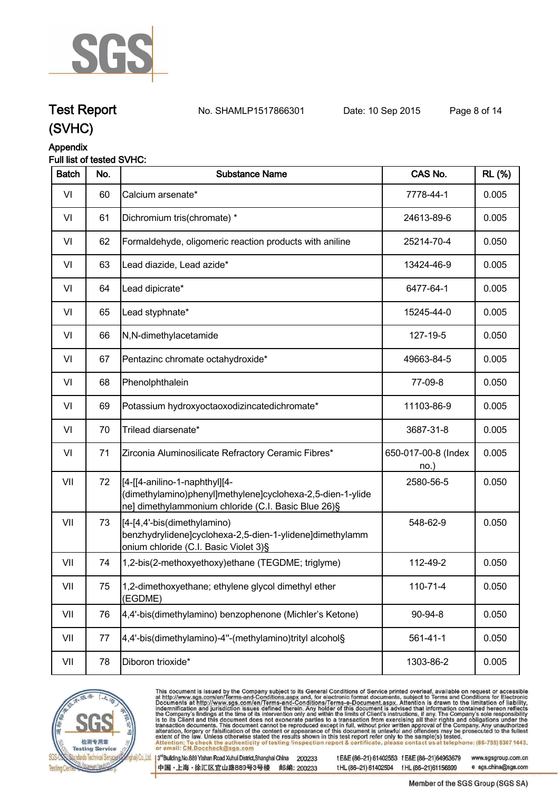

## **Test Report. No. SHAMLP1517866301 Date: 10 Sep 2015. Page 8 of 14.**

### **(SVHC)**

### **Appendix**

### **Full list of tested SVHC:**

| <b>Batch</b> | No. | <b>Substance Name</b>                                                                                                                               | CAS No.                     | <b>RL</b> (%) |
|--------------|-----|-----------------------------------------------------------------------------------------------------------------------------------------------------|-----------------------------|---------------|
| VI           | 60  | Calcium arsenate*                                                                                                                                   | 7778-44-1                   | 0.005         |
| VI           | 61  | Dichromium tris(chromate) *                                                                                                                         | 24613-89-6                  | 0.005         |
| VI           | 62  | Formaldehyde, oligomeric reaction products with aniline                                                                                             | 25214-70-4                  | 0.050         |
| VI           | 63  | Lead diazide, Lead azide*                                                                                                                           | 13424-46-9                  | 0.005         |
| VI           | 64  | Lead dipicrate*                                                                                                                                     | 6477-64-1                   | 0.005         |
| VI           | 65  | Lead styphnate*                                                                                                                                     | 15245-44-0                  | 0.005         |
| VI           | 66  | N,N-dimethylacetamide                                                                                                                               | 127-19-5                    | 0.050         |
| VI           | 67  | Pentazinc chromate octahydroxide*                                                                                                                   | 49663-84-5                  | 0.005         |
| VI           | 68  | Phenolphthalein                                                                                                                                     | 77-09-8                     | 0.050         |
| VI           | 69  | Potassium hydroxyoctaoxodizincatedichromate*                                                                                                        | 11103-86-9                  | 0.005         |
| VI           | 70  | Trilead diarsenate*                                                                                                                                 | 3687-31-8                   | 0.005         |
| VI           | 71  | Zirconia Aluminosilicate Refractory Ceramic Fibres*                                                                                                 | 650-017-00-8 (Index<br>no.) | 0.005         |
| VII          | 72  | [[4-[[4-anilino-1-naphthyl][4-<br>(dimethylamino)phenyl]methylene]cyclohexa-2,5-dien-1-ylide<br>ne] dimethylammonium chloride (C.I. Basic Blue 26)§ | 2580-56-5                   | 0.050         |
| VII          | 73  | [[4-[4,4'-bis(dimethylamino)<br>benzhydrylidene]cyclohexa-2,5-dien-1-ylidene]dimethylamm<br>onium chloride (C.I. Basic Violet 3)§                   | 548-62-9                    | 0.050         |
| VII          | 74  | 1,2-bis(2-methoxyethoxy)ethane (TEGDME; triglyme)                                                                                                   | 112-49-2                    | 0.050         |
| VII          | 75  | 1,2-dimethoxyethane; ethylene glycol dimethyl ether<br>(EGDME)                                                                                      | 110-71-4                    | 0.050         |
| VII          | 76  | 4,4'-bis(dimethylamino) benzophenone (Michler's Ketone)                                                                                             | 90-94-8                     | 0.050         |
| VII          | 77  | 4,4'-bis(dimethylamino)-4"-(methylamino)trityl alcohol§                                                                                             | $561 - 41 - 1$              | 0.050         |
| VII          | 78  | Diboron trioxide*                                                                                                                                   | 1303-86-2                   | 0.005         |



This document is issued by the Company subject to its General Conditions of Service printed overleaf, available on request or accessible<br>at http://www.sgs.com/en/Terms-and-Conditions.aspx and, for electronic format docume

3rd Building, No.889 Yishan Road Xuhui District, Shanghai China 200233 中国·上海·徐汇区宜山路889号3号楼 邮编: 200233 tE&E (86-21) 61402553 fE&E (86-21)64953679 www.sgsgroup.com.cn tHL (86-21) 61402594 fHL (86-21) 61156899 e sgs.china@sgs.com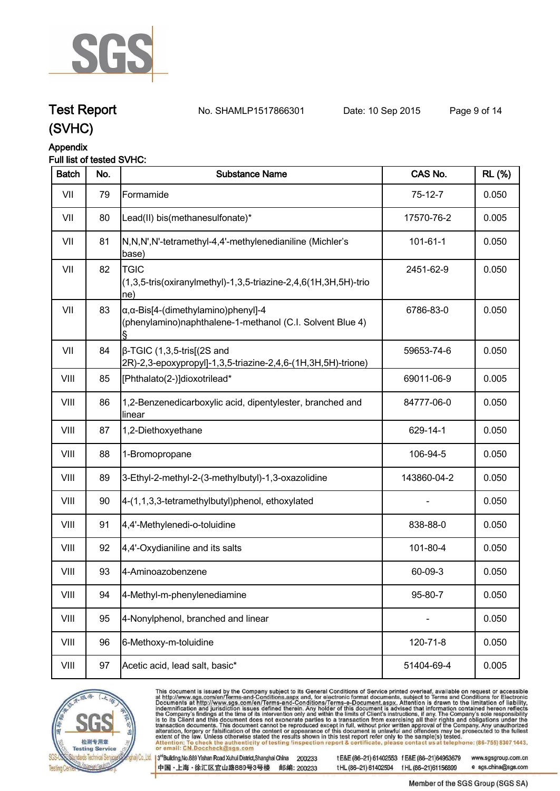

### **Test Report. No. SHAMLP1517866301 Date: 10 Sep 2015. Page 9 of 14.**

**(SVHC)**

## **Appendix**

### **Full list of tested SVHC:**

| <b>Batch</b> | No. | <b>Substance Name</b>                                                                                                 | CAS No.        | <b>RL</b> (%) |
|--------------|-----|-----------------------------------------------------------------------------------------------------------------------|----------------|---------------|
| VII          | 79  | Formamide                                                                                                             | $75-12-7$      | 0.050         |
| VII          | 80  | Lead(II) bis(methanesulfonate)*                                                                                       | 17570-76-2     | 0.005         |
| VII          | 81  | N,N,N',N'-tetramethyl-4,4'-methylenedianiline (Michler's<br>base)                                                     | $101 - 61 - 1$ | 0.050         |
| VII          | 82  | <b>TGIC</b><br>(1,3,5-tris(oxiranylmethyl)-1,3,5-triazine-2,4,6(1H,3H,5H)-trio<br>ne)                                 | 2451-62-9      | 0.050         |
| VII          | 83  | $\alpha$ , $\alpha$ -Bis[4-(dimethylamino)phenyl]-4<br>(phenylamino)naphthalene-1-methanol (C.I. Solvent Blue 4)<br>ş | 6786-83-0      | 0.050         |
| VII          | 84  | $\beta$ -TGIC (1,3,5-tris[(2S and<br>2R)-2,3-epoxypropyl]-1,3,5-triazine-2,4,6-(1H,3H,5H)-trione)                     | 59653-74-6     | 0.050         |
| VIII         | 85  | [Phthalato(2-)]dioxotrilead*                                                                                          | 69011-06-9     | 0.005         |
| VIII         | 86  | 1,2-Benzenedicarboxylic acid, dipentylester, branched and<br>linear                                                   | 84777-06-0     | 0.050         |
| VIII         | 87  | 1,2-Diethoxyethane                                                                                                    | 629-14-1       | 0.050         |
| VIII         | 88  | 1-Bromopropane                                                                                                        | 106-94-5       | 0.050         |
| VIII         | 89  | 3-Ethyl-2-methyl-2-(3-methylbutyl)-1,3-oxazolidine                                                                    | 143860-04-2    | 0.050         |
| VIII         | 90  | 4-(1,1,3,3-tetramethylbutyl)phenol, ethoxylated                                                                       |                | 0.050         |
| VIII         | 91  | 4,4'-Methylenedi-o-toluidine                                                                                          | 838-88-0       | 0.050         |
| VIII         | 92  | 4,4'-Oxydianiline and its salts                                                                                       | 101-80-4       | 0.050         |
| VIII         | 93  | 4-Aminoazobenzene                                                                                                     | 60-09-3        | 0.050         |
| VIII         | 94  | 4-Methyl-m-phenylenediamine                                                                                           | 95-80-7        | 0.050         |
| VIII         | 95  | 4-Nonylphenol, branched and linear                                                                                    |                | 0.050         |
| VIII         | 96  | 6-Methoxy-m-toluidine                                                                                                 | 120-71-8       | 0.050         |
| VIII         | 97  | Acetic acid, lead salt, basic*                                                                                        | 51404-69-4     | 0.005         |



This document is issued by the Company subject to its General Conditions of Service printed overleaf, available on request or accessible at http://www.sgs.com/en/Terms-and-Conditions.aspx and, for electronic format documen

3rd Building, No.889 Yishan Road Xuhui District, Shanghai China 200233 中国·上海·徐汇区宜山路889号3号楼 邮编: 200233 tE&E(86-21) 61402553 fE&E(86-21)64953679 tHL (86-21) 61402594 fHL (86-21) 61156899

www.sgsgroup.com.cn e sgs.china@sgs.com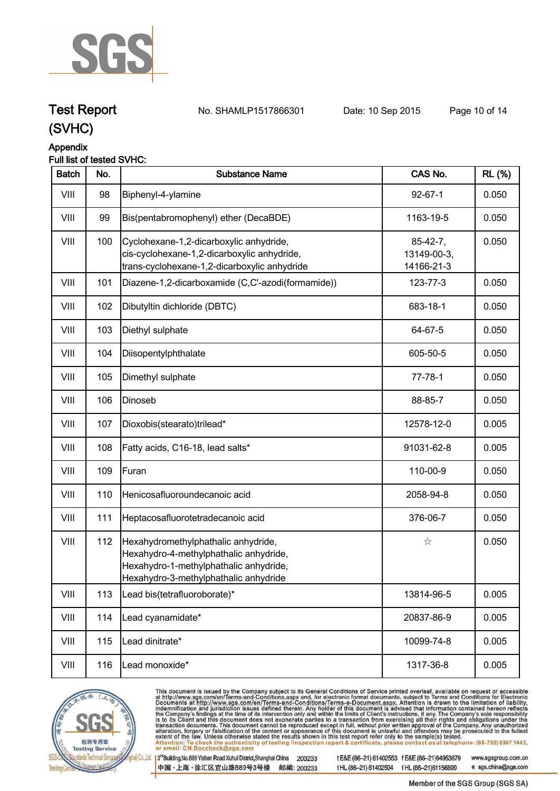

**Test Report No. SHAMLP1517866301** Date: 10 Sep 2015 Page 10 of 14

### **(SVHC)**

### **Appendix**

### **Full list of tested SVHC:**

| <b>Batch</b> | No. | <b>Substance Name</b>                                                                                                                                            | CAS No.                                 | <b>RL</b> (%) |
|--------------|-----|------------------------------------------------------------------------------------------------------------------------------------------------------------------|-----------------------------------------|---------------|
| VIII         | 98  | Biphenyl-4-ylamine                                                                                                                                               | $92 - 67 - 1$                           | 0.050         |
| VIII         | 99  | Bis(pentabromophenyl) ether (DecaBDE)                                                                                                                            | 1163-19-5                               | 0.050         |
| VIII         | 100 | Cyclohexane-1,2-dicarboxylic anhydride,<br>cis-cyclohexane-1,2-dicarboxylic anhydride,<br>trans-cyclohexane-1,2-dicarboxylic anhydride                           | $85-42-7,$<br>13149-00-3,<br>14166-21-3 | 0.050         |
| VIII         | 101 | Diazene-1,2-dicarboxamide (C,C'-azodi(formamide))                                                                                                                | 123-77-3                                | 0.050         |
| VIII         | 102 | Dibutyltin dichloride (DBTC)                                                                                                                                     | 683-18-1                                | 0.050         |
| VIII         | 103 | Diethyl sulphate                                                                                                                                                 | 64-67-5                                 | 0.050         |
| VIII         | 104 | Diisopentylphthalate                                                                                                                                             | 605-50-5                                | 0.050         |
| VIII         | 105 | Dimethyl sulphate                                                                                                                                                | $77 - 78 - 1$                           | 0.050         |
| VIII         | 106 | Dinoseb                                                                                                                                                          | 88-85-7                                 | 0.050         |
| VIII         | 107 | Dioxobis(stearato)trilead*                                                                                                                                       | 12578-12-0                              | 0.005         |
| VIII         | 108 | Fatty acids, C16-18, lead salts*                                                                                                                                 | 91031-62-8                              | 0.005         |
| VIII         | 109 | Furan                                                                                                                                                            | 110-00-9                                | 0.050         |
| VIII         | 110 | Henicosafluoroundecanoic acid                                                                                                                                    | 2058-94-8                               | 0.050         |
| VIII         | 111 | Heptacosafluorotetradecanoic acid                                                                                                                                | 376-06-7                                | 0.050         |
| VIII         | 112 | Hexahydromethylphathalic anhydride,<br>Hexahydro-4-methylphathalic anhydride,<br>Hexahydro-1-methylphathalic anhydride,<br>Hexahydro-3-methylphathalic anhydride | $\stackrel{\circ}{\bowtie}$             | 0.050         |
| VIII         | 113 | Lead bis(tetrafluoroborate)*                                                                                                                                     | 13814-96-5                              | 0.005         |
| VIII         | 114 | Lead cyanamidate*                                                                                                                                                | 20837-86-9                              | 0.005         |
| VIII         | 115 | Lead dinitrate*                                                                                                                                                  | 10099-74-8                              | 0.005         |
| VIII         | 116 | Lead monoxide*                                                                                                                                                   | 1317-36-8                               | 0.005         |
|              |     |                                                                                                                                                                  |                                         |               |



This document is issued by the Company subject to its General Conditions of Service printed overleaf, available on request or accessible<br>at http://www.sgs.com/en/Terms-and-Conditions.aspx and, for electronic format docume

3rd Building, No.889 Yishan Road Xuhui District, Shanghai China 200233 中国·上海·徐汇区宜山路889号3号楼 邮编: 200233 tE&E (86-21) 61402553 fE&E (86-21)64953679 www.sgsgroup.com.cn tHL (86-21) 61402594 fHL (86-21) 61156899 e sgs.china@sgs.com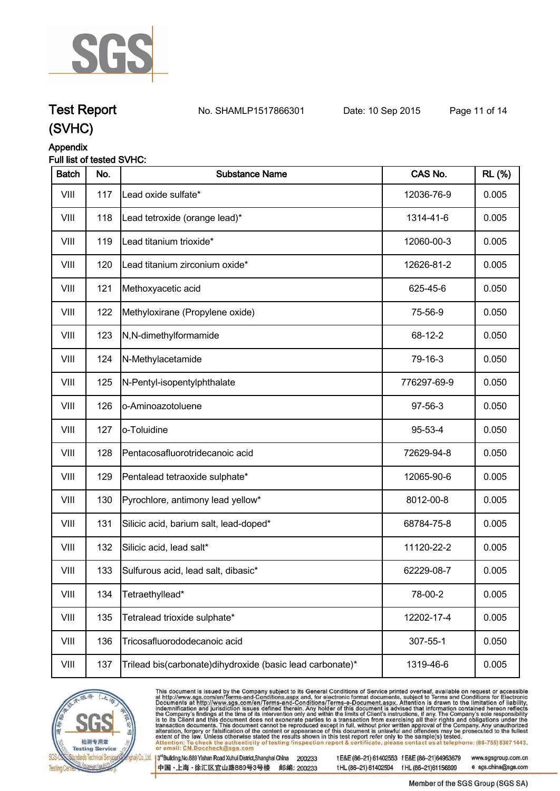

## **Test Report No. SHAMLP1517866301** Date: 10 Sep 2015 Page 11 of 14

### **(SVHC)**

### **Appendix**

### **Full list of tested SVHC:**

| <b>Batch</b> | No. | <b>Substance Name</b>                                       | CAS No.     | <b>RL</b> (%) |
|--------------|-----|-------------------------------------------------------------|-------------|---------------|
| VIII         | 117 | Lead oxide sulfate*                                         | 12036-76-9  | 0.005         |
| VIII         | 118 | Lead tetroxide (orange lead)*                               | 1314-41-6   | 0.005         |
| VIII         | 119 | Lead titanium trioxide*                                     | 12060-00-3  | 0.005         |
| VIII         | 120 | Lead titanium zirconium oxide*                              | 12626-81-2  | 0.005         |
| VIII         | 121 | Methoxyacetic acid                                          | 625-45-6    | 0.050         |
| VIII         | 122 | Methyloxirane (Propylene oxide)                             | 75-56-9     | 0.050         |
| VIII         | 123 | N,N-dimethylformamide                                       | 68-12-2     | 0.050         |
| VIII         | 124 | N-Methylacetamide                                           | 79-16-3     | 0.050         |
| VIII         | 125 | N-Pentyl-isopentylphthalate                                 | 776297-69-9 | 0.050         |
| VIII         | 126 | o-Aminoazotoluene                                           | 97-56-3     | 0.050         |
| VIII         | 127 | o-Toluidine                                                 | 95-53-4     | 0.050         |
| VIII         | 128 | Pentacosafluorotridecanoic acid                             | 72629-94-8  | 0.050         |
| VIII         | 129 | Pentalead tetraoxide sulphate*                              | 12065-90-6  | 0.005         |
| VIII         | 130 | Pyrochlore, antimony lead yellow*                           | 8012-00-8   | 0.005         |
| VIII         | 131 | Silicic acid, barium salt, lead-doped*                      | 68784-75-8  | 0.005         |
| VIII         | 132 | Silicic acid, lead salt*                                    | 11120-22-2  | 0.005         |
| VIII         | 133 | Sulfurous acid, lead salt, dibasic*                         | 62229-08-7  | 0.005         |
| VIII         | 134 | Tetraethyllead*                                             | 78-00-2     | 0.005         |
| VIII         | 135 | Tetralead trioxide sulphate*                                | 12202-17-4  | 0.005         |
| VIII         | 136 | Tricosafluorododecanoic acid                                | 307-55-1    | 0.050         |
| VIII         | 137 | Trilead bis(carbonate) dihy droxide (basic lead carbonate)* | 1319-46-6   | 0.005         |



This document is issued by the Company subject to its General Conditions of Service printed overleaf, available on request or accessible<br>at http://www.sgs.com/en/Terms-and-Conditions.aspx and, for electronic format docume

3rd Building, No.889 Yishan Road Xuhui District, Shanghai China 200233 中国·上海·徐汇区宜山路889号3号楼 邮编: 200233 tE&E (86-21) 61402553 fE&E (86-21)64953679 tHL (86-21) 61402594 fHL (86-21) 61156899

www.sgsgroup.com.cn e sgs.china@sgs.com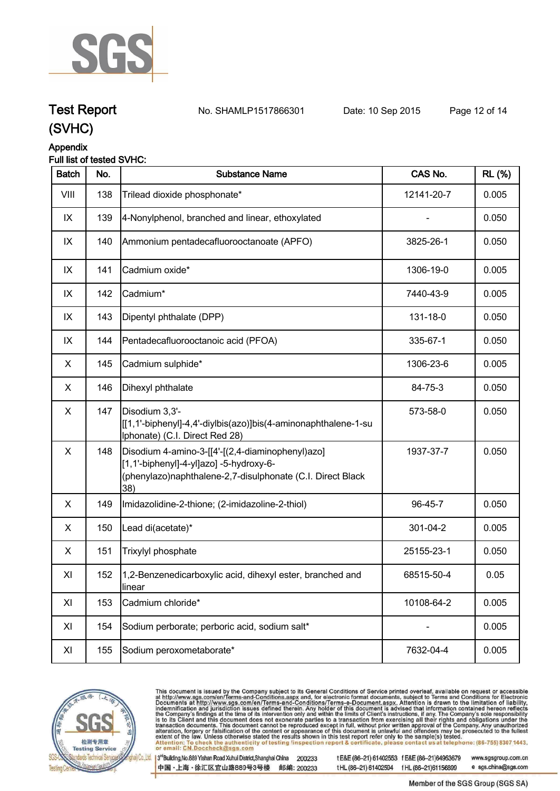

**Test Report No. SHAMLP1517866301** Date: 10 Sep 2015 Page 12 of 14

### **(SVHC)**

### **Appendix**

### **Full list of tested SVHC:**

| <b>Batch</b> | No. | <b>Substance Name</b>                                                                                                                                            | CAS No.    | <b>RL (%)</b> |
|--------------|-----|------------------------------------------------------------------------------------------------------------------------------------------------------------------|------------|---------------|
| VIII         | 138 | Trilead dioxide phosphonate*                                                                                                                                     | 12141-20-7 | 0.005         |
| IX           | 139 | 4-Nonylphenol, branched and linear, ethoxylated                                                                                                                  |            | 0.050         |
| IX           | 140 | Ammonium pentadecafluorooctanoate (APFO)                                                                                                                         | 3825-26-1  | 0.050         |
| IX           | 141 | Cadmium oxide*                                                                                                                                                   | 1306-19-0  | 0.005         |
| IX           | 142 | Cadmium*                                                                                                                                                         | 7440-43-9  | 0.005         |
| IX           | 143 | Dipentyl phthalate (DPP)                                                                                                                                         | 131-18-0   | 0.050         |
| IX           | 144 | Pentadecafluorooctanoic acid (PFOA)                                                                                                                              | 335-67-1   | 0.050         |
| X            | 145 | Cadmium sulphide*                                                                                                                                                | 1306-23-6  | 0.005         |
| X            | 146 | Dihexyl phthalate                                                                                                                                                | 84-75-3    | 0.050         |
| X            | 147 | Disodium 3,3'-<br>[[1,1'-biphenyl]-4,4'-diylbis(azo)]bis(4-aminonaphthalene-1-su<br>Iphonate) (C.I. Direct Red 28)                                               | 573-58-0   | 0.050         |
| X            | 148 | Disodium 4-amino-3-[[4'-[(2,4-diaminophenyl)azo]<br>[1,1'-biphenyl]-4-yl]azo] -5-hydroxy-6-<br>(phenylazo)naphthalene-2,7-disulphonate (C.I. Direct Black<br>38) | 1937-37-7  | 0.050         |
| X            | 149 | Imidazolidine-2-thione; (2-imidazoline-2-thiol)                                                                                                                  | 96-45-7    | 0.050         |
| X            | 150 | Lead di(acetate)*                                                                                                                                                | 301-04-2   | 0.005         |
| X            | 151 | Trixylyl phosphate                                                                                                                                               | 25155-23-1 | 0.050         |
| XI           | 152 | 1,2-Benzenedicarboxylic acid, dihexyl ester, branched and<br>llinear                                                                                             | 68515-50-4 | 0.05          |
| XI           | 153 | Cadmium chloride*                                                                                                                                                | 10108-64-2 | 0.005         |
| XI           | 154 | Sodium perborate; perboric acid, sodium salt*                                                                                                                    |            | 0.005         |
| XI           | 155 | Sodium peroxometaborate*                                                                                                                                         | 7632-04-4  | 0.005         |
|              |     |                                                                                                                                                                  |            |               |



This document is issued by the Company subject to its General Conditions of Service printed overleaf, available on request or accessible<br>at http://www.sgs.com/en/Terms-and-Conditions.aspx and, for electronic format docume

3rd Building, No.889 Yishan Road Xuhui District, Shanghai China 200233 中国·上海·徐汇区宜山路889号3号楼 邮编: 200233 tE&E (86-21) 61402553 fE&E (86-21)64953679 www.sgsgroup.com.cn tHL (86-21) 61402594 fHL (86-21) 61156899

e sgs.china@sgs.com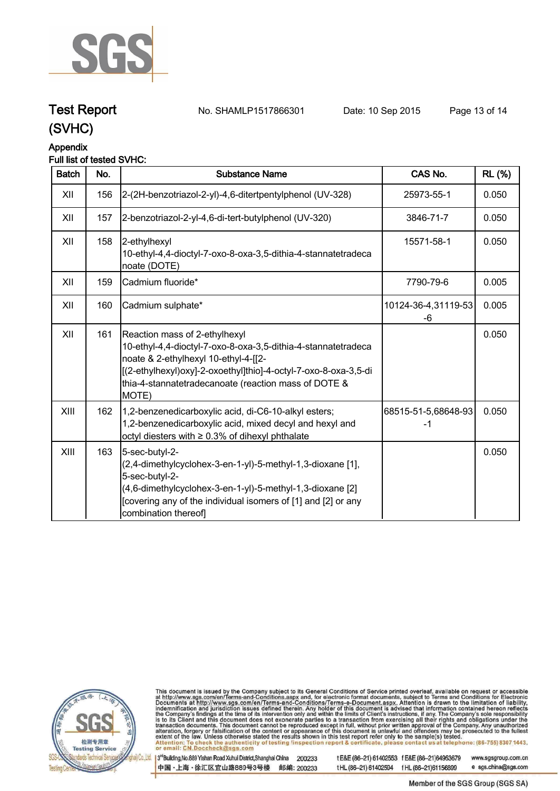

### **Test Report No. SHAMLP1517866301** Date: 10 Sep 2015 Page 13 of 14

### **(SVHC)**

### **Appendix**

### **Full list of tested SVHC:**

| <b>Batch</b> | No. | <b>Substance Name</b>                                                                                                                                                                                                                                                      | CAS No.                   | <b>RL</b> (%) |
|--------------|-----|----------------------------------------------------------------------------------------------------------------------------------------------------------------------------------------------------------------------------------------------------------------------------|---------------------------|---------------|
| XII          | 156 | 2-(2H-benzotriazol-2-yl)-4,6-ditertpentylphenol (UV-328)                                                                                                                                                                                                                   | 25973-55-1                | 0.050         |
| XII          | 157 | 2-benzotriazol-2-yl-4,6-di-tert-butylphenol (UV-320)                                                                                                                                                                                                                       | 3846-71-7                 | 0.050         |
| XII          | 158 | 2-ethylhexyl<br>10-ethyl-4,4-dioctyl-7-oxo-8-oxa-3,5-dithia-4-stannatetradeca<br>noate (DOTE)                                                                                                                                                                              | 15571-58-1                | 0.050         |
| XII          | 159 | Cadmium fluoride*                                                                                                                                                                                                                                                          | 7790-79-6                 | 0.005         |
| XII          | 160 | Cadmium sulphate*                                                                                                                                                                                                                                                          | 10124-36-4,31119-53<br>-6 | 0.005         |
| XII          | 161 | Reaction mass of 2-ethylhexyl<br>10-ethyl-4,4-dioctyl-7-oxo-8-oxa-3,5-dithia-4-stannatetradeca<br>noate & 2-ethylhexyl 10-ethyl-4-[[2-<br>[(2-ethylhexyl)oxy]-2-oxoethyl]thio]-4-octyl-7-oxo-8-oxa-3,5-di<br>thia-4-stannatetradecanoate (reaction mass of DOTE &<br>MOTE) |                           | 0.050         |
| XIII         | 162 | 1,2-benzenedicarboxylic acid, di-C6-10-alkyl esters;<br>1,2-benzenedicarboxylic acid, mixed decyl and hexyl and<br>octyl diesters with $\geq 0.3\%$ of dihexyl phthalate                                                                                                   | 68515-51-5,68648-93<br>-1 | 0.050         |
| XIII         | 163 | 5-sec-butyl-2-<br>(2,4-dimethylcyclohex-3-en-1-yl)-5-methyl-1,3-dioxane [1],<br>5-sec-butyl-2-<br>(4,6-dimethylcyclohex-3-en-1-yl)-5-methyl-1,3-dioxane [2]<br>[covering any of the individual isomers of [1] and [2] or any<br>combination thereof]                       |                           | 0.050         |



This document is issued by the Company subject to its General Conditions of Service printed overleaf, available on request or accessible<br>at http://www.sgs.com/en/Terms-and-Conditions.aspx and, for electronic format docume

3rd Building, No.889 Yishan Road Xuhui District, Shanghai China 200233 中国·上海·徐汇区宜山路889号3号楼 邮编: 200233 tE&E (86-21) 61402553 fE&E (86-21)64953679 www.sgsgroup.com.cn tHL (86-21) 61402594 fHL (86-21) 61156899 e sgs.china@sgs.com